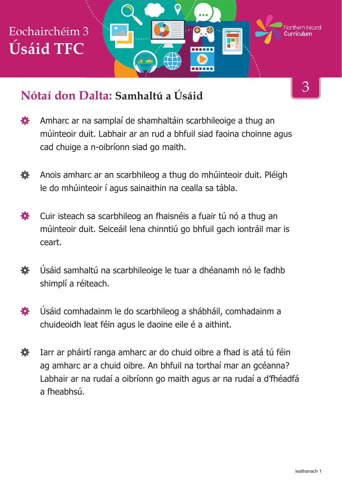

#### **Nótaí don Dalta: Samhaltú a Úsáid**

- 寮 Amharc ar na samplaí de shamhaltáin scarbhileoige a thug an múinteoir duit. Labhair ar an rud a bhfuil siad faoina choinne agus cad chuige a n-oibríonn siad go maith.
- Anois amharc ar an scarbhileog a thug do mhúinteoir duit. Pléigh 娄 le do mhúinteoir í agus sainaithin na cealla sa tábla.
- Cuir isteach sa scarbhileog an fhaisnéis a fuair tú nó a thug an 娄 múinteoir duit. Seiceáil lena chinntiú go bhfuil gach iontráil mar is ceart.
- Úsáid samhaltú na scarbhileoige le tuar a dhéanamh nó le fadhb 養 shimplí a réiteach.
- Úsáid comhadainm le do scarbhileog a shábháil, comhadainm a 娄 chuideoidh leat féin agus le daoine eile é a aithint.
- Iarr ar pháirtí ranga amharc ar do chuid oibre a fhad is atá tú féin 娄 ag amharc ar a chuid oibre. An bhfuil na torthaí mar an gcéanna? Labhair ar na rudaí a oibríonn go maith agus ar na rudaí a d'fhéadfá a fheabhsú.

3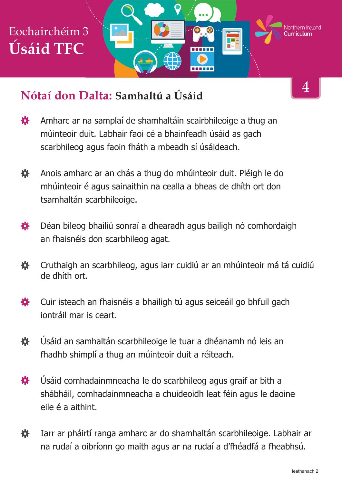

### **Nótaí don Dalta: Samhaltú a Úsáid**

- 4
- 寮 Amharc ar na samplaí de shamhaltáin scairbhileoige a thug an múinteoir duit. Labhair faoi cé a bhainfeadh úsáid as gach scarbhileog agus faoin fháth a mbeadh sí úsáideach.
- 養 Anois amharc ar an chás a thug do mhúinteoir duit. Pléigh le do mhúinteoir é agus sainaithin na cealla a bheas de dhíth ort don tsamhaltán scarbhileoige.
- 娄 Déan bileog bhailiú sonraí a dhearadh agus bailigh nó comhordaigh an fhaisnéis don scarbhileog agat.
- 養 Cruthaigh an scarbhileog, agus iarr cuidiú ar an mhúinteoir má tá cuidiú de dhíth ort.
- 養 Cuir isteach an fhaisnéis a bhailigh tú agus seiceáil go bhfuil gach iontráil mar is ceart.
- 娄 Úsáid an samhaltán scarbhileoige le tuar a dhéanamh nó leis an fhadhb shimplí a thug an múinteoir duit a réiteach.
- Úsáid comhadainmneacha le do scarbhileog agus graif ar bith a 娄 shábháil, comhadainmneacha a chuideoidh leat féin agus le daoine eile é a aithint.
- 養 Iarr ar pháirtí ranga amharc ar do shamhaltán scarbhileoige. Labhair ar na rudaí a oibríonn go maith agus ar na rudaí a d'fhéadfá a fheabhsú.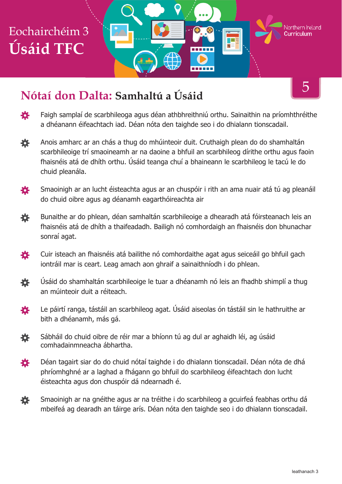# Eochairchéim 3 **Úsáid TFC**

#### **Nótaí don Dalta: Samhaltú a Úsáid**

登 Faigh samplaí de scarbhileoga agus déan athbhreithniú orthu. Sainaithin na príomhthréithe a dhéanann éifeachtach iad. Déan nóta den taighde seo i do dhialann tionscadail.

------

- Anois amharc ar an chás a thug do mhúinteoir duit. Cruthaigh plean do do shamhaltán 養 scarbhileoige trí smaoineamh ar na daoine a bhfuil an scarbhileog dírithe orthu agus faoin fhaisnéis atá de dhíth orthu. Úsáid teanga chuí a bhaineann le scarbhileog le tacú le do chuid pleanála.
- Smaoinigh ar an lucht éisteachta agus ar an chuspóir i rith an ama nuair atá tú ag pleanáil 娄 do chuid oibre agus ag déanamh eagarthóireachta air
- Bunaithe ar do phlean, déan samhaltán scarbhileoige a dhearadh atá fóirsteanach leis an 養 fhaisnéis atá de dhíth a thaifeadadh. Bailigh nó comhordaigh an fhaisnéis don bhunachar sonraí agat.
- Cuir isteach an fhaisnéis atá bailithe nó comhordaithe agat agus seiceáil go bhfuil gach 娄 iontráil mar is ceart. Leag amach aon ghraif a sainaithníodh i do phlean.
- 娄 Úsáid do shamhaltán scarbhileoige le tuar a dhéanamh nó leis an fhadhb shimplí a thug an múinteoir duit a réiteach.
- Le páirtí ranga, tástáil an scarbhileog agat. Úsáid aiseolas ón tástáil sin le hathruithe ar 養 bith a dhéanamh, más gá.
- Sábháil do chuid oibre de réir mar a bhíonn tú ag dul ar aghaidh léi, ag úsáid 娄 comhadainmneacha ábhartha.
- Déan tagairt siar do do chuid nótaí taighde i do dhialann tionscadail. Déan nóta de dhá 娄 phríomhghné ar a laghad a fhágann go bhfuil do scarbhileog éifeachtach don lucht éisteachta agus don chuspóir dá ndearnadh é.
- Smaoinigh ar na gnéithe agus ar na tréithe i do scarbhileog a gcuirfeá feabhas orthu dá 養 mbeifeá ag dearadh an táirge arís. Déan nóta den taighde seo i do dhialann tionscadail.

5

Northern **Ir**eland